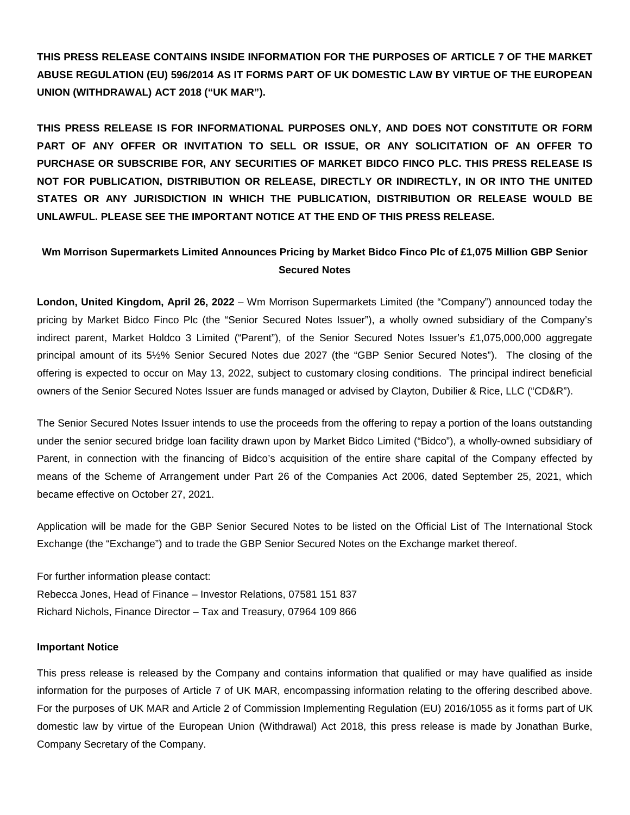**THIS PRESS RELEASE CONTAINS INSIDE INFORMATION FOR THE PURPOSES OF ARTICLE 7 OF THE MARKET ABUSE REGULATION (EU) 596/2014 AS IT FORMS PART OF UK DOMESTIC LAW BY VIRTUE OF THE EUROPEAN UNION (WITHDRAWAL) ACT 2018 ("UK MAR").**

**THIS PRESS RELEASE IS FOR INFORMATIONAL PURPOSES ONLY, AND DOES NOT CONSTITUTE OR FORM PART OF ANY OFFER OR INVITATION TO SELL OR ISSUE, OR ANY SOLICITATION OF AN OFFER TO PURCHASE OR SUBSCRIBE FOR, ANY SECURITIES OF MARKET BIDCO FINCO PLC. THIS PRESS RELEASE IS NOT FOR PUBLICATION, DISTRIBUTION OR RELEASE, DIRECTLY OR INDIRECTLY, IN OR INTO THE UNITED STATES OR ANY JURISDICTION IN WHICH THE PUBLICATION, DISTRIBUTION OR RELEASE WOULD BE UNLAWFUL. PLEASE SEE THE IMPORTANT NOTICE AT THE END OF THIS PRESS RELEASE.**

## **Wm Morrison Supermarkets Limited Announces Pricing by Market Bidco Finco Plc of £1,075 Million GBP Senior Secured Notes**

**London, United Kingdom, April 26, 2022** – Wm Morrison Supermarkets Limited (the "Company") announced today the pricing by Market Bidco Finco Plc (the "Senior Secured Notes Issuer"), a wholly owned subsidiary of the Company's indirect parent, Market Holdco 3 Limited ("Parent"), of the Senior Secured Notes Issuer's £1,075,000,000 aggregate principal amount of its 5½% Senior Secured Notes due 2027 (the "GBP Senior Secured Notes"). The closing of the offering is expected to occur on May 13, 2022, subject to customary closing conditions. The principal indirect beneficial owners of the Senior Secured Notes Issuer are funds managed or advised by Clayton, Dubilier & Rice, LLC ("CD&R").

The Senior Secured Notes Issuer intends to use the proceeds from the offering to repay a portion of the loans outstanding under the senior secured bridge loan facility drawn upon by Market Bidco Limited ("Bidco"), a wholly-owned subsidiary of Parent, in connection with the financing of Bidco's acquisition of the entire share capital of the Company effected by means of the Scheme of Arrangement under Part 26 of the Companies Act 2006, dated September 25, 2021, which became effective on October 27, 2021.

Application will be made for the GBP Senior Secured Notes to be listed on the Official List of The International Stock Exchange (the "Exchange") and to trade the GBP Senior Secured Notes on the Exchange market thereof.

For further information please contact: Rebecca Jones, Head of Finance – Investor Relations, 07581 151 837 Richard Nichols, Finance Director – Tax and Treasury, 07964 109 866

## **Important Notice**

This press release is released by the Company and contains information that qualified or may have qualified as inside information for the purposes of Article 7 of UK MAR, encompassing information relating to the offering described above. For the purposes of UK MAR and Article 2 of Commission Implementing Regulation (EU) 2016/1055 as it forms part of UK domestic law by virtue of the European Union (Withdrawal) Act 2018, this press release is made by Jonathan Burke, Company Secretary of the Company.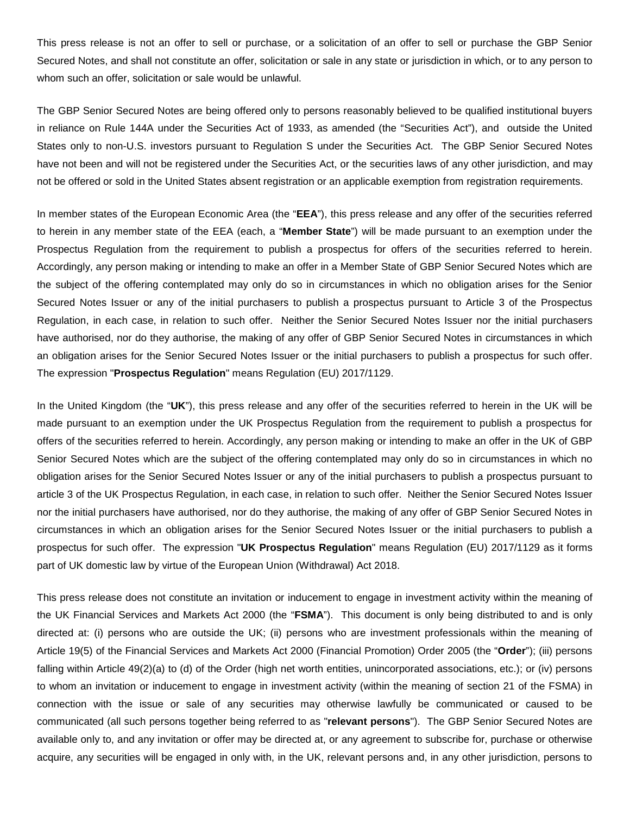This press release is not an offer to sell or purchase, or a solicitation of an offer to sell or purchase the GBP Senior Secured Notes, and shall not constitute an offer, solicitation or sale in any state or jurisdiction in which, or to any person to whom such an offer, solicitation or sale would be unlawful.

The GBP Senior Secured Notes are being offered only to persons reasonably believed to be qualified institutional buyers in reliance on Rule 144A under the Securities Act of 1933, as amended (the "Securities Act"), and outside the United States only to non-U.S. investors pursuant to Regulation S under the Securities Act. The GBP Senior Secured Notes have not been and will not be registered under the Securities Act, or the securities laws of any other jurisdiction, and may not be offered or sold in the United States absent registration or an applicable exemption from registration requirements.

In member states of the European Economic Area (the "**EEA**"), this press release and any offer of the securities referred to herein in any member state of the EEA (each, a "**Member State**") will be made pursuant to an exemption under the Prospectus Regulation from the requirement to publish a prospectus for offers of the securities referred to herein. Accordingly, any person making or intending to make an offer in a Member State of GBP Senior Secured Notes which are the subject of the offering contemplated may only do so in circumstances in which no obligation arises for the Senior Secured Notes Issuer or any of the initial purchasers to publish a prospectus pursuant to Article 3 of the Prospectus Regulation, in each case, in relation to such offer. Neither the Senior Secured Notes Issuer nor the initial purchasers have authorised, nor do they authorise, the making of any offer of GBP Senior Secured Notes in circumstances in which an obligation arises for the Senior Secured Notes Issuer or the initial purchasers to publish a prospectus for such offer. The expression "**Prospectus Regulation**" means Regulation (EU) 2017/1129.

In the United Kingdom (the "**UK**"), this press release and any offer of the securities referred to herein in the UK will be made pursuant to an exemption under the UK Prospectus Regulation from the requirement to publish a prospectus for offers of the securities referred to herein. Accordingly, any person making or intending to make an offer in the UK of GBP Senior Secured Notes which are the subject of the offering contemplated may only do so in circumstances in which no obligation arises for the Senior Secured Notes Issuer or any of the initial purchasers to publish a prospectus pursuant to article 3 of the UK Prospectus Regulation, in each case, in relation to such offer. Neither the Senior Secured Notes Issuer nor the initial purchasers have authorised, nor do they authorise, the making of any offer of GBP Senior Secured Notes in circumstances in which an obligation arises for the Senior Secured Notes Issuer or the initial purchasers to publish a prospectus for such offer. The expression "**UK Prospectus Regulation**" means Regulation (EU) 2017/1129 as it forms part of UK domestic law by virtue of the European Union (Withdrawal) Act 2018.

This press release does not constitute an invitation or inducement to engage in investment activity within the meaning of the UK Financial Services and Markets Act 2000 (the "**FSMA**"). This document is only being distributed to and is only directed at: (i) persons who are outside the UK; (ii) persons who are investment professionals within the meaning of Article 19(5) of the Financial Services and Markets Act 2000 (Financial Promotion) Order 2005 (the "**Order**"); (iii) persons falling within Article 49(2)(a) to (d) of the Order (high net worth entities, unincorporated associations, etc.); or (iv) persons to whom an invitation or inducement to engage in investment activity (within the meaning of section 21 of the FSMA) in connection with the issue or sale of any securities may otherwise lawfully be communicated or caused to be communicated (all such persons together being referred to as "**relevant persons**"). The GBP Senior Secured Notes are available only to, and any invitation or offer may be directed at, or any agreement to subscribe for, purchase or otherwise acquire, any securities will be engaged in only with, in the UK, relevant persons and, in any other jurisdiction, persons to